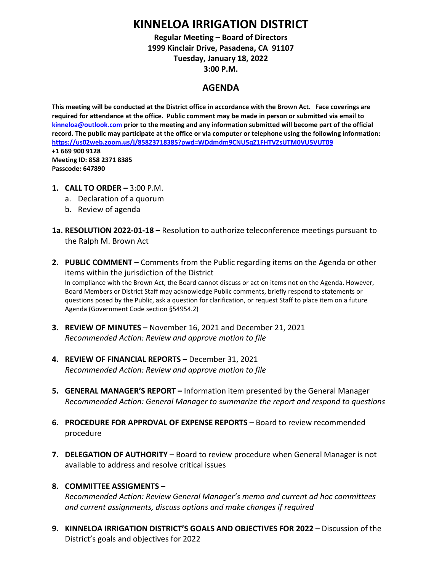# **KINNELOA IRRIGATION DISTRICT**

**Regular Meeting – Board of Directors 1999 Kinclair Drive, Pasadena, CA 91107 Tuesday, January 18, 2022 3:00 P.M.**

## **AGENDA**

**This meeting will be conducted at the District office in accordance with the Brown Act. Face coverings are required for attendance at the office. Public comment may be made in person or submitted via email to [kinneloa@outlook.com](mailto:kinneloa@outlook.com) prior to the meeting and any information submitted will become part of the official record. The public may participate at the office or via computer or telephone using the following information: <https://us02web.zoom.us/j/85823718385?pwd=WDdmdm9CNU5qZ1FHTVZsUTM0VU5VUT09> +1 669 900 9128 Meeting ID: 858 2371 8385 Passcode: 647890**

- **1. CALL TO ORDER –** 3:00 P.M.
	- a. Declaration of a quorum
	- b. Review of agenda
- **1a. RESOLUTION 2022-01-18 –** Resolution to authorize teleconference meetings pursuant to the Ralph M. Brown Act
- **2. PUBLIC COMMENT –** Comments from the Public regarding items on the Agenda or other items within the jurisdiction of the District In compliance with the Brown Act, the Board cannot discuss or act on items not on the Agenda. However, Board Members or District Staff may acknowledge Public comments, briefly respond to statements or questions posed by the Public, ask a question for clarification, or request Staff to place item on a future Agenda (Government Code section §54954.2)
- **3. REVIEW OF MINUTES –** November 16, 2021 and December 21, 2021 *Recommended Action: Review and approve motion to file*
- **4. REVIEW OF FINANCIAL REPORTS –** December 31, 2021 *Recommended Action: Review and approve motion to file*
- **5. GENERAL MANAGER'S REPORT –** Information item presented by the General Manager *Recommended Action: General Manager to summarize the report and respond to questions*
- **6. PROCEDURE FOR APPROVAL OF EXPENSE REPORTS –** Board to review recommended procedure
- **7. DELEGATION OF AUTHORITY –** Board to review procedure when General Manager is not available to address and resolve critical issues
- **8. COMMITTEE ASSIGMENTS –**

*Recommended Action: Review General Manager's memo and current ad hoc committees and current assignments, discuss options and make changes if required*

**9. KINNELOA IRRIGATION DISTRICT'S GOALS AND OBJECTIVES FOR 2022 –** Discussion of the District's goals and objectives for 2022